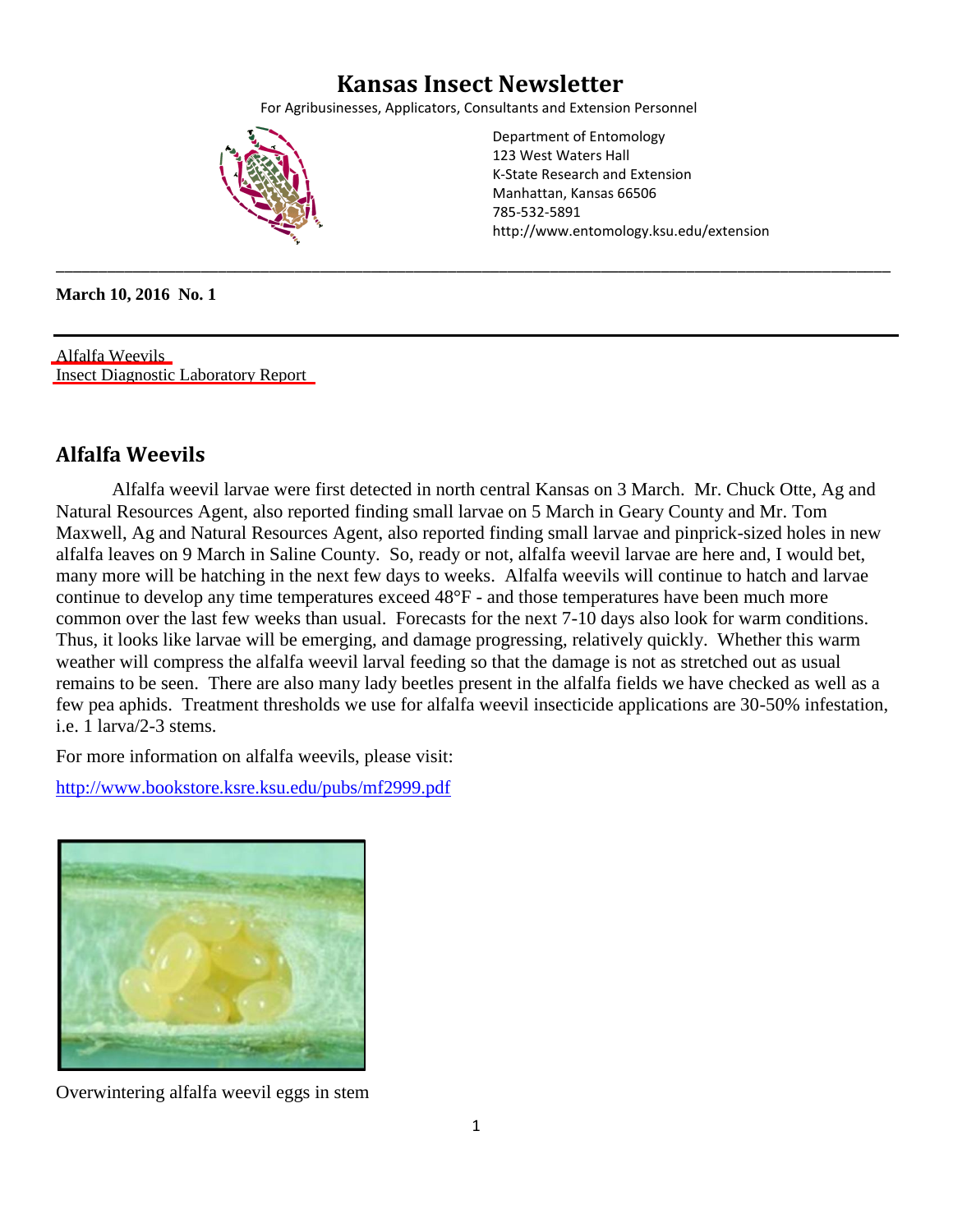## **Kansas Insect Newsletter**

For Agribusinesses, Applicators, Consultants and Extension Personnel

\_\_\_\_\_\_\_\_\_\_\_\_\_\_\_\_\_\_\_\_\_\_\_\_\_\_\_\_\_\_\_\_\_\_\_\_\_\_\_\_\_\_\_\_\_\_\_\_\_\_\_\_\_\_\_\_\_\_\_\_\_\_\_\_\_\_\_\_\_\_\_\_\_\_\_\_\_\_\_\_\_\_\_\_\_\_\_\_\_\_\_\_\_\_\_\_\_\_

<span id="page-0-0"></span>

Department of Entomology 123 West Waters Hall K-State Research and Extension Manhattan, Kansas 66506 785-532-5891 http://www.entomology.ksu.edu/extension

**March 10, 2016 No. 1** 

Alfalfa Weevils [Insect Diagnostic Laboratory Report](#page-1-0) 

#### **Alfalfa Weevils**

Alfalfa weevil larvae were first detected in north central Kansas on 3 March. Mr. Chuck Otte, Ag and Natural Resources Agent, also reported finding small larvae on 5 March in Geary County and Mr. Tom Maxwell, Ag and Natural Resources Agent, also reported finding small larvae and pinprick-sized holes in new alfalfa leaves on 9 March in Saline County. So, ready or not, alfalfa weevil larvae are here and, I would bet, many more will be hatching in the next few days to weeks. Alfalfa weevils will continue to hatch and larvae continue to develop any time temperatures exceed 48°F - and those temperatures have been much more common over the last few weeks than usual. Forecasts for the next 7-10 days also look for warm conditions. Thus, it looks like larvae will be emerging, and damage progressing, relatively quickly. Whether this warm weather will compress the alfalfa weevil larval feeding so that the damage is not as stretched out as usual remains to be seen. There are also many lady beetles present in the alfalfa fields we have checked as well as a few pea aphids. Treatment thresholds we use for alfalfa weevil insecticide applications are 30-50% infestation, i.e. 1 larva/2-3 stems.

For more information on alfalfa weevils, please visit:

<http://www.bookstore.ksre.ksu.edu/pubs/mf2999.pdf>



Overwintering alfalfa weevil eggs in stem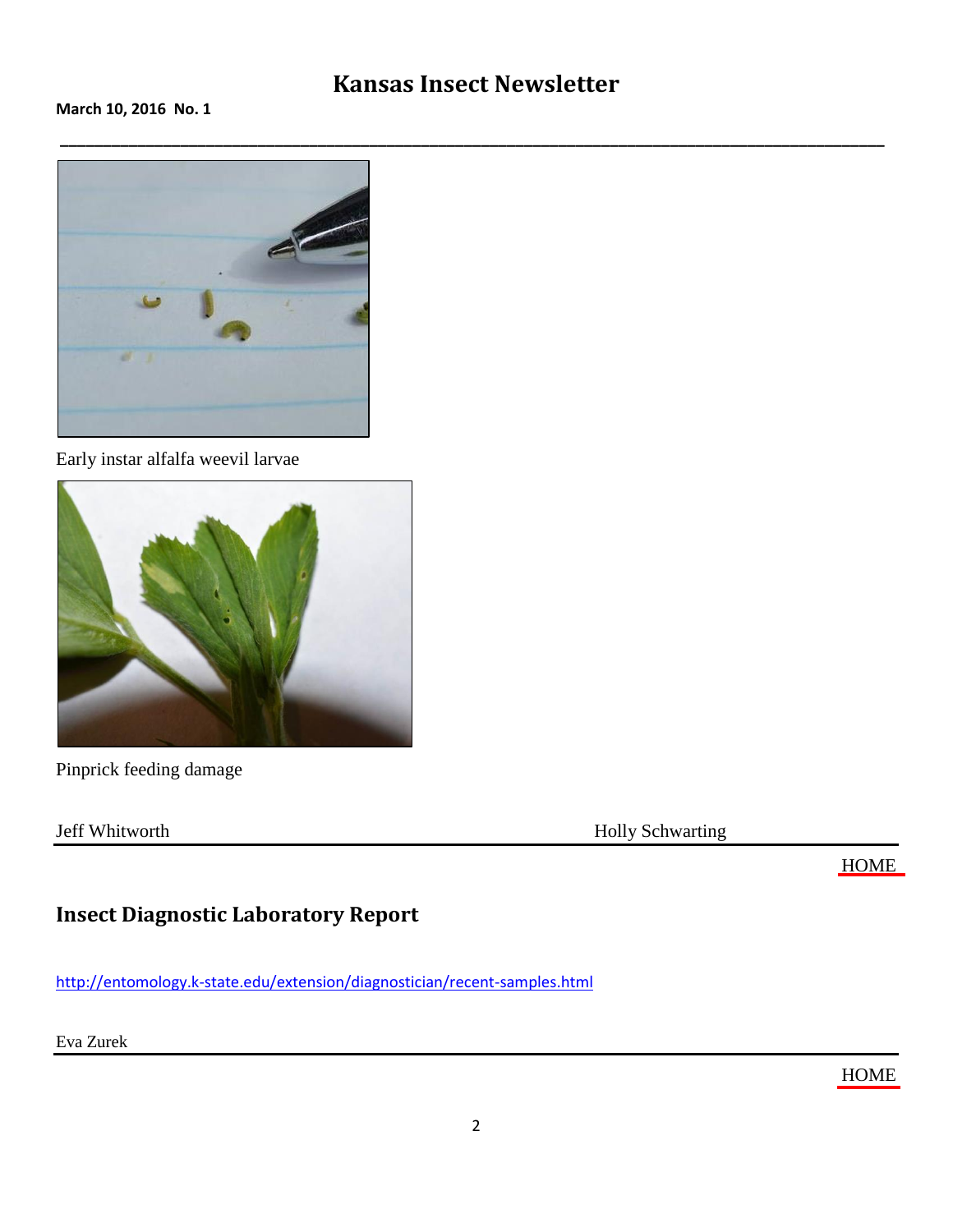## **Kansas Insect Newsletter**

<span id="page-1-0"></span>**March 10, 2016 No. 1**



Early instar alfalfa weevil larvae



Pinprick feeding damage

Jeff Whitworth Holly Schwarting

[HOME](#page-0-0)

#### **Insect Diagnostic Laboratory Repor[t](http://entomology.k-state.edu/extension/diagnostician/recent-samples.html)**

<http://entomology.k-state.edu/extension/diagnostician/recent-samples.html>

Eva Zurek